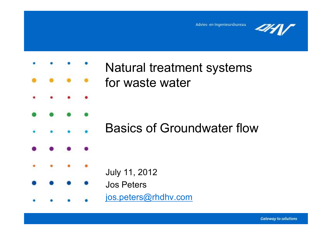



# Natural treatment systemsfor waste water

# Basics of Groundwater flow

July 11, 2012

### Jos Peters

jos.peters@rhdhv.com

**Gateway to solutions**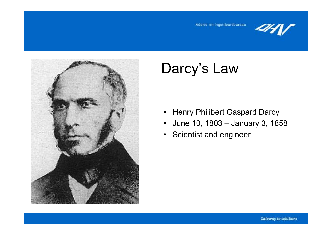



# Darcy's Law

- •Henry Philibert Gaspard Darcy
- $\bullet$ June 10, 1803 – January 3, 1858
- Scientist and engineer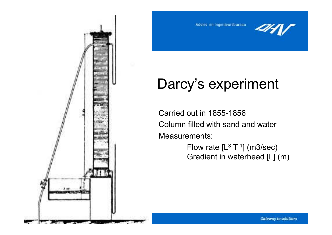

Advies- en ingenieursbureau



# Darcy's experiment

Carried out in 1855-1856 Column filled with sand and water Measurements:

> Flow rate [L<sup>3</sup><br>Credient in u  $^3$  T<sup>-1</sup>] (m3/sec) Gradient in waterhead [L] (m)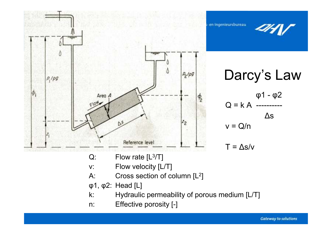

- A: Cross section of column [L<sup>2</sup>]
- φ1, φ2: Head [L]
- k: Hydraulic permeability of porous medium [L/T]<br>n: Effective porosity [-]
- Effective porosity [-]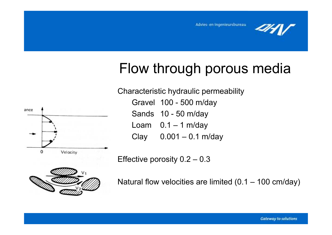

# Flow through porous media

ance  $\Omega$ Velocity Characteristic hydraulic permeability

Gravel 100 - 500 m/day

Sands 10 - 50 m/day

Loam  $0.1 - 1$  m/day<br>Clay  $0.001 - 0.1$  m

 $0.001 - 0.1$  m/day

Effective porosity 0.2 – 0.3



Natural flow velocities are limited (0.1 – 100 cm/day)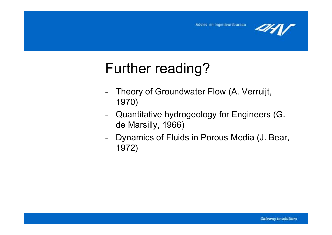

# Further reading?

- Theory of Groundwater Flow (A. Verruijt, 1970)
- - Quantitative hydrogeology for Engineers (G. de Marsilly, 1966)
- - Dynamics of Fluids in Porous Media (J. Bear, 1972)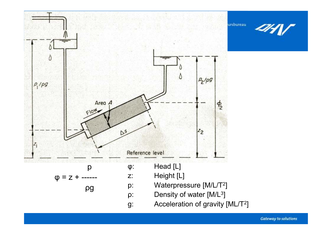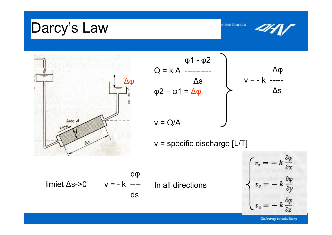### Darcy's Law mieursbureau φ1 - φ2  $Q = k A$  ----------∆φ∆s v = - k ----- ∆φ∆s φ2 – φ1 = ∆φ Area /  $v = Q/A$  $v =$  specific discharge [L/T]  $\mathbb{D}^5$  $v_x = -k \frac{\partial \varphi}{\partial x}$ dφ $\frac{\partial \varphi}{\partial \varphi}$  limiet ∆s->0 v = - k ---- In all directions  $\partial y$ ds

**Gateway to solutions**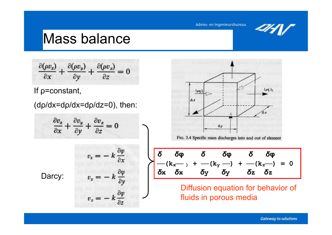## Mass balance

$$
\frac{\partial(\rho v_x)}{\partial x} + \frac{\partial(\rho v_y)}{\partial y} + \frac{\partial(\rho v_z)}{\partial z} = 0
$$

If ρ=constant,

(dρ/dx=dρ/dx=dρ/dz=0), then:

$$
\frac{\partial v_x}{\partial x} + \frac{\partial v_y}{\partial y} + \frac{\partial v_z}{\partial z} = 0
$$

 $v_x = -$ 

 $v_z = -$ 

 $v_{\scriptscriptstyle y}$  :

 $\frac{\partial \varphi}{\partial x}$ 

 $\frac{\partial \varphi}{\partial y}$ 

 $\frac{\partial \varphi}{\partial x}$ 

 $\partial z$ 

Darcy:

Fig. 3.4 Specific mass discharges into and out of element\n
$$
\frac{\delta \phi}{\delta x} = \frac{\delta \phi}{\delta x} = \frac{\delta \phi}{\delta y} = \frac{\delta \phi}{\delta x}
$$
\n
$$
= \frac{\delta \phi}{\delta x} = \frac{\delta \phi}{\delta y} = \frac{\delta \phi}{\delta y} = \frac{\delta \phi}{\delta z} = \frac{\delta \phi}{\delta z}
$$
\n
$$
= \frac{\delta \phi}{\delta x} = \frac{\delta \phi}{\delta y} = \frac{\delta \phi}{\delta y} = \frac{\delta \phi}{\delta z} = \frac{\delta \phi}{\delta z}
$$
\n
$$
= \frac{\delta \phi}{\delta x} = \frac{\delta \phi}{\delta y} = \frac{\delta \phi}{\delta y} = \frac{\delta \phi}{\delta z} = \frac{\delta \phi}{\delta z}
$$

fluids in porous media

**Gateway to solutions**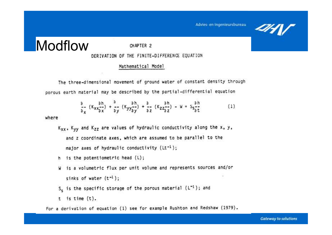### Modflow

CHAPTER 2

#### DERIVATION OF THE FINITE-DIFFERENCE EQUATION

#### Mathematical Model

The three-dimensional movement of ground water of constant density through porous earth material may be described by the partial-differential equation

$$
\frac{a}{a_x} (K_{xx} \frac{ah}{ax}) + \frac{a}{ay} (K_{yy} \frac{ah}{ay}) + \frac{a}{az} (K_{zz} \frac{ah}{az}) - W = S_{5} \frac{ah}{at}
$$
 (1)

where

- Kxx, Kyy and Kzz are values of hydraulic conductivity along the x, y, and z coordinate axes, which are assumed to be parallel to the major axes of hydraulic conductivity  $(Lt^{-1})$ ;
- h is the potentiometric head (L);
- W is a volumetric flux per unit volume and represents sources and/or sinks of water  $(t^{-1})$ ;
- $S_5$  is the specific storage of the porous material ( $L^{-1}$ ); and
- $t$  is time  $(t)$ .

For a derivation of equation (1) see for example Rushton and Redshaw (1979).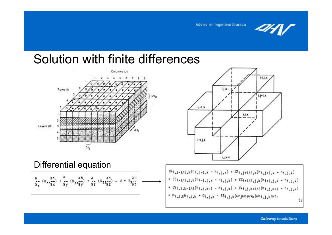

# Solution with finite differences



Differential equation

$$
\frac{a}{a} \cdot (K_{xx} \frac{ah}{ax}) + \frac{a}{ay} (K_{yy} \frac{ah}{ay}) + \frac{a}{az} (K_{zz} \frac{ah}{az}) - W = S_{s} \frac{ah}{at}
$$



 $\alpha_{1,j-1/2,k}(\mathbf{h}_{1,j-1,k}-\mathbf{h}_{1,j,k})+\alpha_{1,j+1/2,k}(\mathbf{h}_{1,j+1,k}-\mathbf{h}_{1,j,k})$ +  $CC_{i-1/2,j,k}(h_{i-1,j,k} - h_{i,j,k})$  +  $CC_{i+1/2,j,k}(h_{i+1,j,k} - h_{i,j,j,k})$ +  $CV_{1,j,k-1/2}(h_{1,j,k-1} - h_{1,j,k}) + CV_{1,j,k+1/2}(h_{1,j,k+1} - h_{1,j,k})$ +  $P_{1,1,k}h_{1,j,k}$  +  $Q_{1,j,k}$  =  $SS_{1,j,k}(\Delta r_{j}\Delta c_{j}\Delta v_{k})\Delta h_{1,j,k}/\Delta t$ .  $(2)$